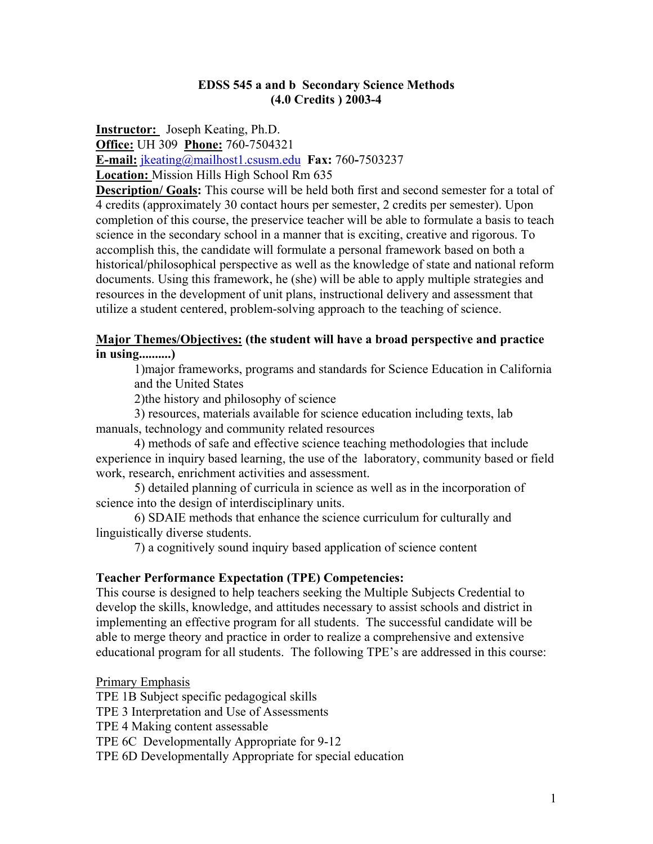#### **EDSS 545 a and b Secondary Science Methods (4.0 Credits ) 2003-4**

**Instructor:** Joseph Keating, Ph.D. **Office:** UH 309 **Phone:** 760-7504321 **E-mail:** jkeating@mailhost1.csusm.edu **Fax:** 760**-**7503237 **Location:** Mission Hills High School Rm 635

**Description/ Goals:** This course will be held both first and second semester for a total of 4 credits (approximately 30 contact hours per semester, 2 credits per semester). Upon completion of this course, the preservice teacher will be able to formulate a basis to teach science in the secondary school in a manner that is exciting, creative and rigorous. To accomplish this, the candidate will formulate a personal framework based on both a historical/philosophical perspective as well as the knowledge of state and national reform documents. Using this framework, he (she) will be able to apply multiple strategies and resources in the development of unit plans, instructional delivery and assessment that utilize a student centered, problem-solving approach to the teaching of science.

### **Major Themes/Objectives: (the student will have a broad perspective and practice in using..........)**

1)major frameworks, programs and standards for Science Education in California and the United States

2)the history and philosophy of science

 3) resources, materials available for science education including texts, lab manuals, technology and community related resources

 4) methods of safe and effective science teaching methodologies that include experience in inquiry based learning, the use of the laboratory, community based or field work, research, enrichment activities and assessment.

 5) detailed planning of curricula in science as well as in the incorporation of science into the design of interdisciplinary units.

 6) SDAIE methods that enhance the science curriculum for culturally and linguistically diverse students.

7) a cognitively sound inquiry based application of science content

### **Teacher Performance Expectation (TPE) Competencies:**

This course is designed to help teachers seeking the Multiple Subjects Credential to develop the skills, knowledge, and attitudes necessary to assist schools and district in implementing an effective program for all students. The successful candidate will be able to merge theory and practice in order to realize a comprehensive and extensive educational program for all students. The following TPE's are addressed in this course:

#### Primary Emphasis

TPE 1B Subject specific pedagogical skills

TPE 3 Interpretation and Use of Assessments

TPE 4 Making content assessable

TPE 6C Developmentally Appropriate for 9-12

TPE 6D Developmentally Appropriate for special education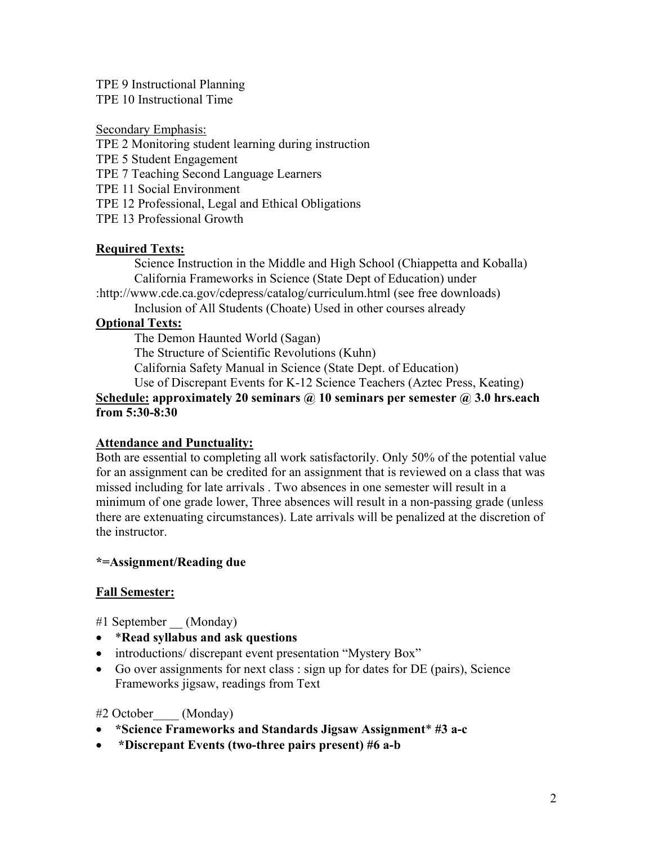### TPE 9 Instructional Planning

TPE 10 Instructional Time

### Secondary Emphasis:

TPE 2 Monitoring student learning during instruction

- TPE 5 Student Engagement
- TPE 7 Teaching Second Language Learners
- TPE 11 Social Environment
- TPE 12 Professional, Legal and Ethical Obligations
- TPE 13 Professional Growth

## **Required Texts:**

Science Instruction in the Middle and High School (Chiappetta and Koballa) California Frameworks in Science (State Dept of Education) under

:http://www.cde.ca.gov/cdepress/catalog/curriculum.html (see free downloads)

Inclusion of All Students (Choate) Used in other courses already

## **Optional Texts:**

The Demon Haunted World (Sagan)

The Structure of Scientific Revolutions (Kuhn)

California Safety Manual in Science (State Dept. of Education)

Use of Discrepant Events for K-12 Science Teachers (Aztec Press, Keating)

## **Schedule: approximately 20 seminars @ 10 seminars per semester @ 3.0 hrs.each from 5:30-8:30**

## **Attendance and Punctuality:**

Both are essential to completing all work satisfactorily. Only 50% of the potential value for an assignment can be credited for an assignment that is reviewed on a class that was missed including for late arrivals . Two absences in one semester will result in a minimum of one grade lower, Three absences will result in a non-passing grade (unless there are extenuating circumstances). Late arrivals will be penalized at the discretion of the instructor.

### **\*=Assignment/Reading due**

## **Fall Semester:**

#1 September (Monday)

- \***Read syllabus and ask questions**
- introductions/ discrepant event presentation "Mystery Box"
- Go over assignments for next class : sign up for dates for DE (pairs), Science Frameworks jigsaw, readings from Text

### #2 October\_\_\_\_ (Monday)

- **\*Science Frameworks and Standards Jigsaw Assignment**\* **#3 a-c**
- • **\*Discrepant Events (two-three pairs present) #6 a-b**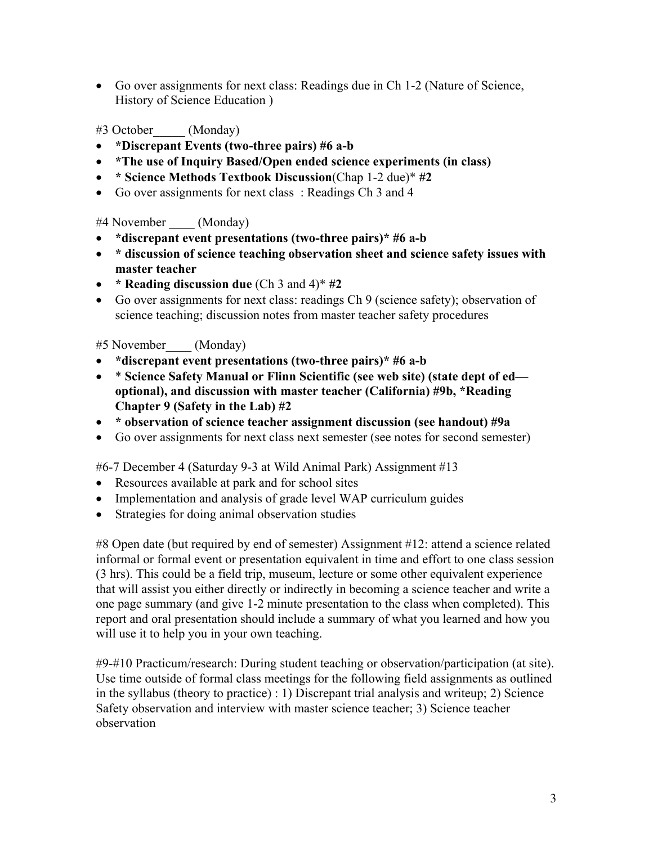• Go over assignments for next class: Readings due in Ch 1-2 (Nature of Science, History of Science Education )

## #3 October\_\_\_\_\_ (Monday)

- **\*Discrepant Events (two-three pairs) #6 a-b**
- **\*The use of Inquiry Based/Open ended science experiments (in class)**
- **\* Science Methods Textbook Discussion**(Chap 1-2 due)\* **#2**
- Go over assignments for next class: Readings Ch 3 and 4

### #4 November (Monday)

- **\*discrepant event presentations (two-three pairs)\* #6 a-b**
- **\* discussion of science teaching observation sheet and science safety issues with master teacher**
- **\* Reading discussion due** (Ch 3 and 4)\* **#2**
- Go over assignments for next class: readings Ch 9 (science safety); observation of science teaching; discussion notes from master teacher safety procedures

### #5 November\_\_\_\_ (Monday)

- **\*discrepant event presentations (two-three pairs)\* #6 a-b**
- \* **Science Safety Manual or Flinn Scientific (see web site) (state dept of ed optional), and discussion with master teacher (California) #9b, \*Reading Chapter 9 (Safety in the Lab) #2**
- **\* observation of science teacher assignment discussion (see handout) #9a**
- Go over assignments for next class next semester (see notes for second semester)

#6-7 December 4 (Saturday 9-3 at Wild Animal Park) Assignment #13

- Resources available at park and for school sites
- Implementation and analysis of grade level WAP curriculum guides
- Strategies for doing animal observation studies

#8 Open date (but required by end of semester) Assignment #12: attend a science related informal or formal event or presentation equivalent in time and effort to one class session (3 hrs). This could be a field trip, museum, lecture or some other equivalent experience that will assist you either directly or indirectly in becoming a science teacher and write a one page summary (and give 1-2 minute presentation to the class when completed). This report and oral presentation should include a summary of what you learned and how you will use it to help you in your own teaching.

#9-#10 Practicum/research: During student teaching or observation/participation (at site). Use time outside of formal class meetings for the following field assignments as outlined in the syllabus (theory to practice) : 1) Discrepant trial analysis and writeup; 2) Science Safety observation and interview with master science teacher; 3) Science teacher observation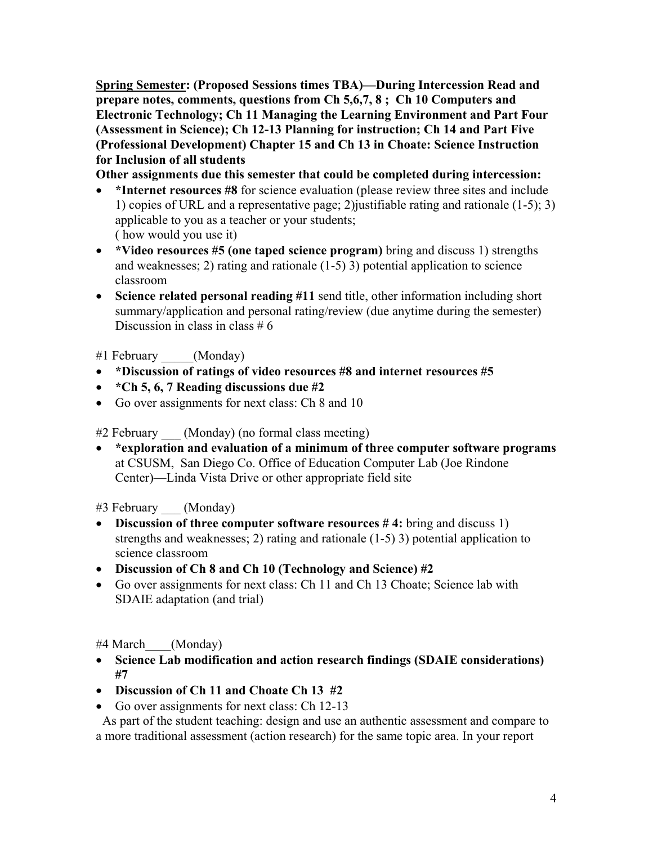**Spring Semester: (Proposed Sessions times TBA)—During Intercession Read and prepare notes, comments, questions from Ch 5,6,7, 8 ; Ch 10 Computers and Electronic Technology; Ch 11 Managing the Learning Environment and Part Four (Assessment in Science); Ch 12-13 Planning for instruction; Ch 14 and Part Five (Professional Development) Chapter 15 and Ch 13 in Choate: Science Instruction for Inclusion of all students** 

**Other assignments due this semester that could be completed during intercession:** 

- \*Internet resources #8 for science evaluation (please review three sites and include 1) copies of URL and a representative page; 2)justifiable rating and rationale (1-5); 3) applicable to you as a teacher or your students; ( how would you use it)
- **\*Video resources #5 (one taped science program)** bring and discuss 1) strengths and weaknesses; 2) rating and rationale (1-5) 3) potential application to science classroom
- **Science related personal reading #11** send title, other information including short summary/application and personal rating/review (due anytime during the semester) Discussion in class in class  $# 6$

#1 February \_\_\_\_\_(Monday)

- **\*Discussion of ratings of video resources #8 and internet resources #5**
- **\*Ch 5, 6, 7 Reading discussions due #2**
- Go over assignments for next class: Ch 8 and 10

#2 February (Monday) (no formal class meeting)

• **\*exploration and evaluation of a minimum of three computer software programs** at CSUSM, San Diego Co. Office of Education Computer Lab (Joe Rindone Center)—Linda Vista Drive or other appropriate field site

#3 February (Monday)

- **Discussion of three computer software resources #4:** bring and discuss 1) strengths and weaknesses; 2) rating and rationale (1-5) 3) potential application to science classroom
- **Discussion of Ch 8 and Ch 10 (Technology and Science) #2**
- Go over assignments for next class: Ch 11 and Ch 13 Choate; Science lab with SDAIE adaptation (and trial)

#4 March (Monday)

- **Science Lab modification and action research findings (SDAIE considerations) #7**
- **Discussion of Ch 11 and Choate Ch 13 #2**
- Go over assignments for next class: Ch 12-13

 As part of the student teaching: design and use an authentic assessment and compare to a more traditional assessment (action research) for the same topic area. In your report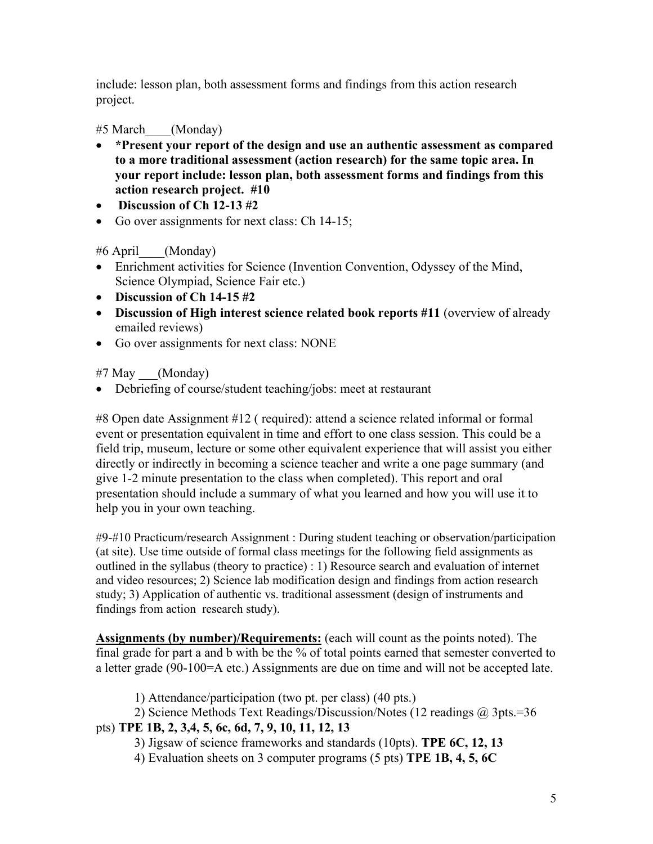include: lesson plan, both assessment forms and findings from this action research project.

# #5 March\_\_\_\_(Monday)

- **\*Present your report of the design and use an authentic assessment as compared to a more traditional assessment (action research) for the same topic area. In your report include: lesson plan, both assessment forms and findings from this action research project. #10**
- **Discussion of Ch 12-13 #2**
- Go over assignments for next class: Ch 14-15;

# #6 April\_\_\_\_(Monday)

- Enrichment activities for Science (Invention Convention, Odyssey of the Mind, Science Olympiad, Science Fair etc.)
- **Discussion of Ch 14-15 #2**
- **Discussion of High interest science related book reports #11** (overview of already emailed reviews)
- Go over assignments for next class: NONE

 $#7$  May  $(Monday)$ 

• Debriefing of course/student teaching/jobs: meet at restaurant

#8 Open date Assignment #12 ( required): attend a science related informal or formal event or presentation equivalent in time and effort to one class session. This could be a field trip, museum, lecture or some other equivalent experience that will assist you either directly or indirectly in becoming a science teacher and write a one page summary (and give 1-2 minute presentation to the class when completed). This report and oral presentation should include a summary of what you learned and how you will use it to help you in your own teaching.

#9-#10 Practicum/research Assignment : During student teaching or observation/participation (at site). Use time outside of formal class meetings for the following field assignments as outlined in the syllabus (theory to practice) : 1) Resource search and evaluation of internet and video resources; 2) Science lab modification design and findings from action research study; 3) Application of authentic vs. traditional assessment (design of instruments and findings from action research study).

**Assignments (by number)/Requirements:** (each will count as the points noted). The final grade for part a and b with be the % of total points earned that semester converted to a letter grade (90-100=A etc.) Assignments are due on time and will not be accepted late.

1) Attendance/participation (two pt. per class) (40 pts.)

2) Science Methods Text Readings/Discussion/Notes (12 readings @ 3pts.=36

# pts) **TPE 1B, 2, 3,4, 5, 6c, 6d, 7, 9, 10, 11, 12, 13**

3) Jigsaw of science frameworks and standards (10pts). **TPE 6C, 12, 13** 

4) Evaluation sheets on 3 computer programs (5 pts) **TPE 1B, 4, 5, 6C**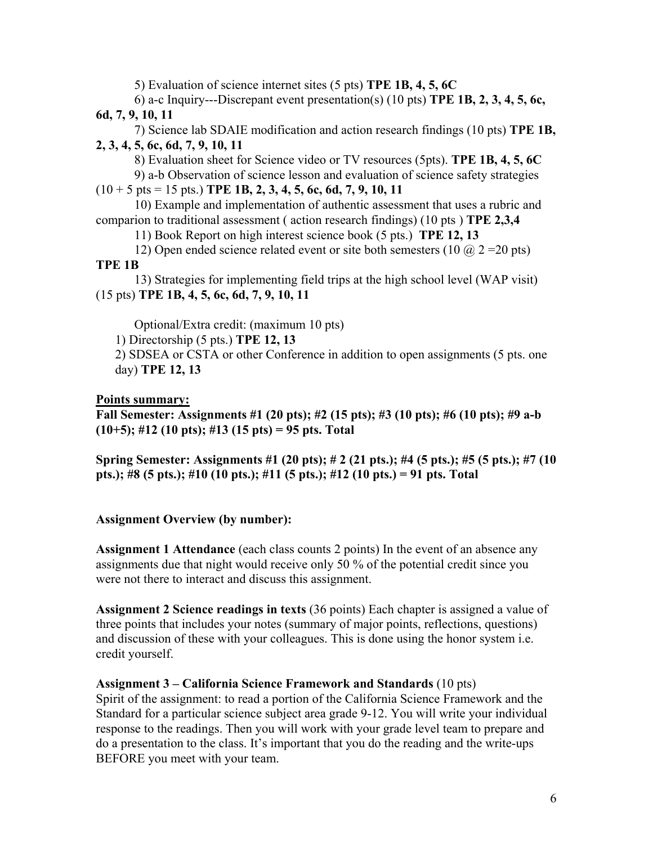5) Evaluation of science internet sites (5 pts) **TPE 1B, 4, 5, 6C**

 6) a-c Inquiry---Discrepant event presentation(s) (10 pts) **TPE 1B, 2, 3, 4, 5, 6c, 6d, 7, 9, 10, 11** 

 7) Science lab SDAIE modification and action research findings (10 pts) **TPE 1B, 2, 3, 4, 5, 6c, 6d, 7, 9, 10, 11** 

8) Evaluation sheet for Science video or TV resources (5pts). **TPE 1B, 4, 5, 6C** 

 9) a-b Observation of science lesson and evaluation of science safety strategies  $(10 + 5 \text{ pts} = 15 \text{ pts.})$  **TPE 1B, 2, 3, 4, 5, 6c, 6d, 7, 9, 10, 11** 

 10) Example and implementation of authentic assessment that uses a rubric and comparion to traditional assessment ( action research findings) (10 pts ) **TPE 2,3,4** 

11) Book Report on high interest science book (5 pts.) **TPE 12, 13** 

12) Open ended science related event or site both semesters (10  $\omega$  2 = 20 pts) **TPE 1B** 

 13) Strategies for implementing field trips at the high school level (WAP visit) (15 pts) **TPE 1B, 4, 5, 6c, 6d, 7, 9, 10, 11** 

Optional/Extra credit: (maximum 10 pts)

1) Directorship (5 pts.) **TPE 12, 13**

2) SDSEA or CSTA or other Conference in addition to open assignments (5 pts. one day) **TPE 12, 13** 

## **Points summary:**

**Fall Semester: Assignments #1 (20 pts); #2 (15 pts); #3 (10 pts); #6 (10 pts); #9 a-b (10+5); #12 (10 pts); #13 (15 pts) = 95 pts. Total** 

**Spring Semester: Assignments #1 (20 pts); # 2 (21 pts.); #4 (5 pts.); #5 (5 pts.); #7 (10 pts.); #8 (5 pts.); #10 (10 pts.); #11 (5 pts.); #12 (10 pts.) = 91 pts. Total** 

### **Assignment Overview (by number):**

**Assignment 1 Attendance** (each class counts 2 points) In the event of an absence any assignments due that night would receive only 50 % of the potential credit since you were not there to interact and discuss this assignment.

**Assignment 2 Science readings in texts** (36 points) Each chapter is assigned a value of three points that includes your notes (summary of major points, reflections, questions) and discussion of these with your colleagues. This is done using the honor system i.e. credit yourself.

### **Assignment 3 – California Science Framework and Standards** (10 pts)

Spirit of the assignment: to read a portion of the California Science Framework and the Standard for a particular science subject area grade 9-12. You will write your individual response to the readings. Then you will work with your grade level team to prepare and do a presentation to the class. It's important that you do the reading and the write-ups BEFORE you meet with your team.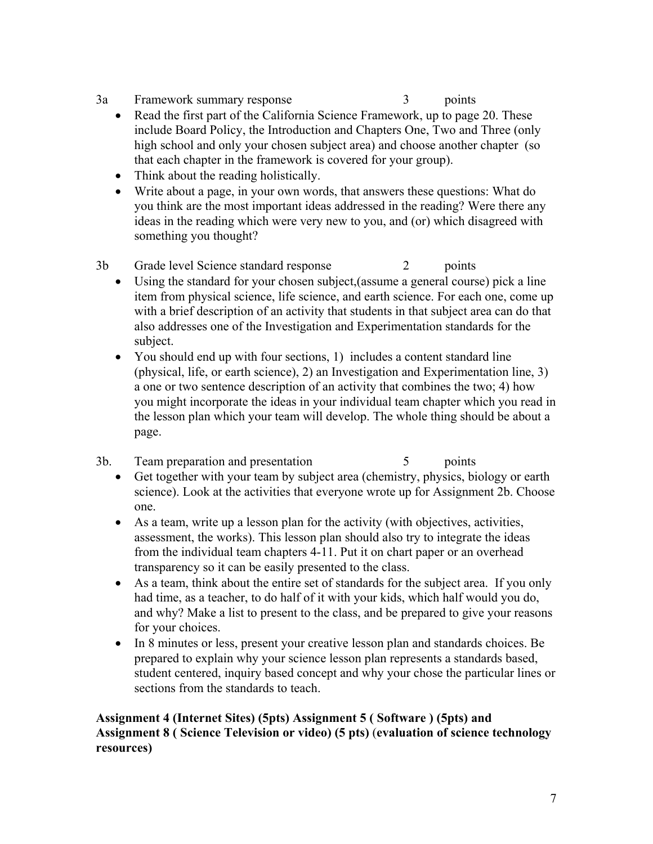- 3a Framework summary response 3 points
	- Read the first part of the California Science Framework, up to page 20. These include Board Policy, the Introduction and Chapters One, Two and Three (only high school and only your chosen subject area) and choose another chapter (so that each chapter in the framework is covered for your group).
	- Think about the reading holistically.
	- Write about a page, in your own words, that answers these questions: What do you think are the most important ideas addressed in the reading? Were there any ideas in the reading which were very new to you, and (or) which disagreed with something you thought?
- 3b Grade level Science standard response 2 points
	- Using the standard for your chosen subject,(assume a general course) pick a line item from physical science, life science, and earth science. For each one, come up with a brief description of an activity that students in that subject area can do that also addresses one of the Investigation and Experimentation standards for the subject.
	- You should end up with four sections, 1) includes a content standard line (physical, life, or earth science), 2) an Investigation and Experimentation line, 3) a one or two sentence description of an activity that combines the two; 4) how you might incorporate the ideas in your individual team chapter which you read in the lesson plan which your team will develop. The whole thing should be about a page.
- 3b. Team preparation and presentation 5 points
	- Get together with your team by subject area (chemistry, physics, biology or earth science). Look at the activities that everyone wrote up for Assignment 2b. Choose one.
	- As a team, write up a lesson plan for the activity (with objectives, activities, assessment, the works). This lesson plan should also try to integrate the ideas from the individual team chapters 4-11. Put it on chart paper or an overhead transparency so it can be easily presented to the class.
	- As a team, think about the entire set of standards for the subject area. If you only had time, as a teacher, to do half of it with your kids, which half would you do, and why? Make a list to present to the class, and be prepared to give your reasons for your choices.
	- In 8 minutes or less, present your creative lesson plan and standards choices. Be prepared to explain why your science lesson plan represents a standards based, student centered, inquiry based concept and why your chose the particular lines or sections from the standards to teach.

### **Assignment 4 (Internet Sites) (5pts) Assignment 5 ( Software ) (5pts) and Assignment 8 ( Science Television or video) (5 pts)** (**evaluation of science technology resources)**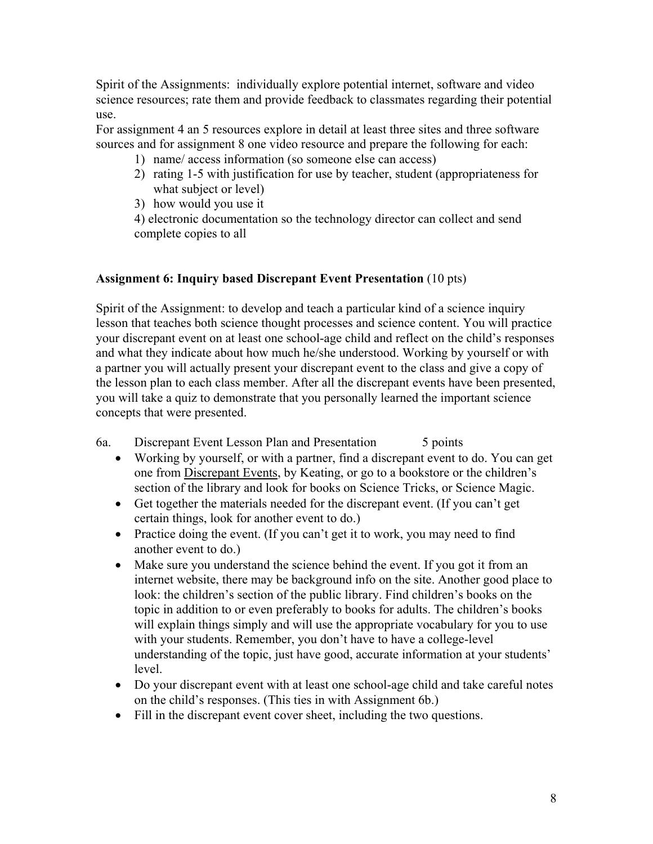Spirit of the Assignments: individually explore potential internet, software and video science resources; rate them and provide feedback to classmates regarding their potential use.

For assignment 4 an 5 resources explore in detail at least three sites and three software sources and for assignment 8 one video resource and prepare the following for each:

- 1) name/ access information (so someone else can access)
- 2) rating 1-5 with justification for use by teacher, student (appropriateness for what subject or level)
- 3) how would you use it

4) electronic documentation so the technology director can collect and send complete copies to all

## **Assignment 6: Inquiry based Discrepant Event Presentation** (10 pts)

Spirit of the Assignment: to develop and teach a particular kind of a science inquiry lesson that teaches both science thought processes and science content. You will practice your discrepant event on at least one school-age child and reflect on the child's responses and what they indicate about how much he/she understood. Working by yourself or with a partner you will actually present your discrepant event to the class and give a copy of the lesson plan to each class member. After all the discrepant events have been presented, you will take a quiz to demonstrate that you personally learned the important science concepts that were presented.

- 6a. Discrepant Event Lesson Plan and Presentation 5 points
	- Working by yourself, or with a partner, find a discrepant event to do. You can get one from Discrepant Events, by Keating, or go to a bookstore or the children's section of the library and look for books on Science Tricks, or Science Magic.
	- Get together the materials needed for the discrepant event. (If you can't get certain things, look for another event to do.)
	- Practice doing the event. (If you can't get it to work, you may need to find another event to do.)
	- Make sure you understand the science behind the event. If you got it from an internet website, there may be background info on the site. Another good place to look: the children's section of the public library. Find children's books on the topic in addition to or even preferably to books for adults. The children's books will explain things simply and will use the appropriate vocabulary for you to use with your students. Remember, you don't have to have a college-level understanding of the topic, just have good, accurate information at your students' level.
	- Do your discrepant event with at least one school-age child and take careful notes on the child's responses. (This ties in with Assignment 6b.)
	- Fill in the discrepant event cover sheet, including the two questions.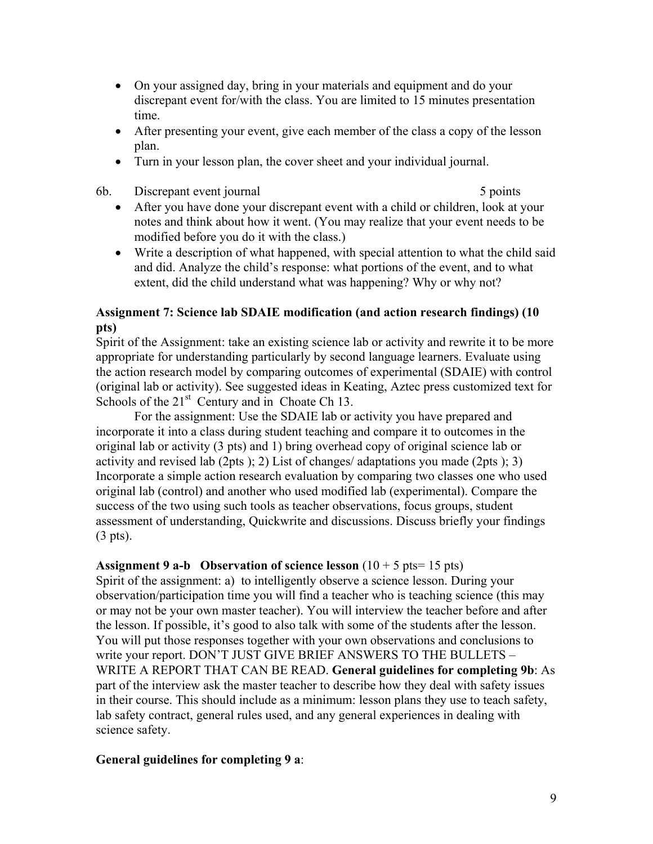- On your assigned day, bring in your materials and equipment and do your discrepant event for/with the class. You are limited to 15 minutes presentation time.
- After presenting your event, give each member of the class a copy of the lesson plan.
- Turn in your lesson plan, the cover sheet and your individual journal.
- 6b. Discrepant event journal 5 points 5 points

- After you have done your discrepant event with a child or children, look at your notes and think about how it went. (You may realize that your event needs to be modified before you do it with the class.)
- Write a description of what happened, with special attention to what the child said and did. Analyze the child's response: what portions of the event, and to what extent, did the child understand what was happening? Why or why not?

### **Assignment 7: Science lab SDAIE modification (and action research findings) (10 pts)**

Spirit of the Assignment: take an existing science lab or activity and rewrite it to be more appropriate for understanding particularly by second language learners. Evaluate using the action research model by comparing outcomes of experimental (SDAIE) with control (original lab or activity). See suggested ideas in Keating, Aztec press customized text for Schools of the  $21<sup>st</sup>$  Century and in Choate Ch 13.

For the assignment: Use the SDAIE lab or activity you have prepared and incorporate it into a class during student teaching and compare it to outcomes in the original lab or activity (3 pts) and 1) bring overhead copy of original science lab or activity and revised lab (2pts ); 2) List of changes/ adaptations you made (2pts ); 3) Incorporate a simple action research evaluation by comparing two classes one who used original lab (control) and another who used modified lab (experimental). Compare the success of the two using such tools as teacher observations, focus groups, student assessment of understanding, Quickwrite and discussions. Discuss briefly your findings (3 pts).

### **Assignment 9 a-b** Observation of science lesson  $(10 + 5 \text{ pts} = 15 \text{ pts})$

Spirit of the assignment: a) to intelligently observe a science lesson. During your observation/participation time you will find a teacher who is teaching science (this may or may not be your own master teacher). You will interview the teacher before and after the lesson. If possible, it's good to also talk with some of the students after the lesson. You will put those responses together with your own observations and conclusions to write your report. DON'T JUST GIVE BRIEF ANSWERS TO THE BULLETS – WRITE A REPORT THAT CAN BE READ. **General guidelines for completing 9b**: As part of the interview ask the master teacher to describe how they deal with safety issues in their course. This should include as a minimum: lesson plans they use to teach safety, lab safety contract, general rules used, and any general experiences in dealing with science safety.

### **General guidelines for completing 9 a**: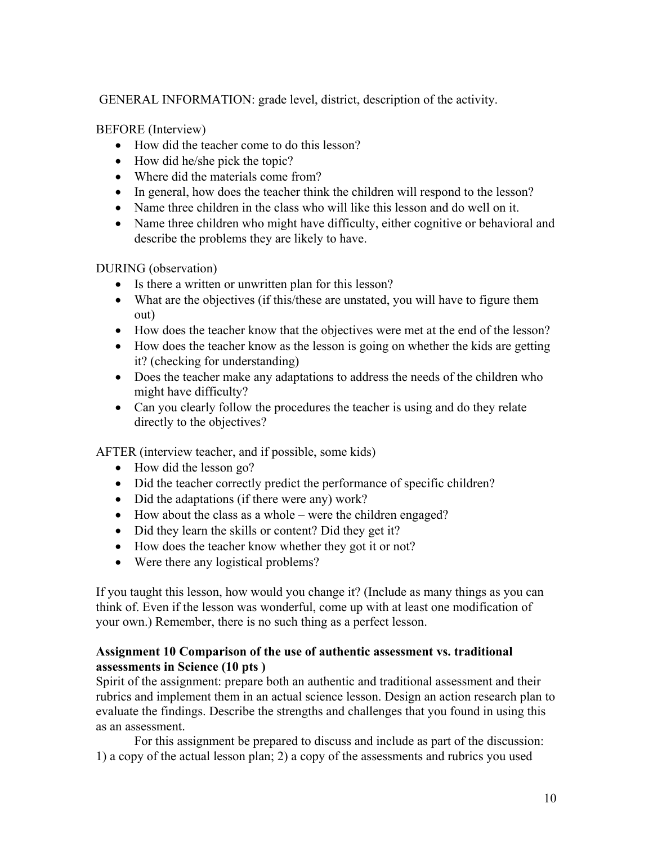GENERAL INFORMATION: grade level, district, description of the activity.

BEFORE (Interview)

- How did the teacher come to do this lesson?
- How did he/she pick the topic?
- Where did the materials come from?
- In general, how does the teacher think the children will respond to the lesson?
- Name three children in the class who will like this lesson and do well on it.
- Name three children who might have difficulty, either cognitive or behavioral and describe the problems they are likely to have.

DURING (observation)

- Is there a written or unwritten plan for this lesson?
- What are the objectives (if this/these are unstated, you will have to figure them out)
- How does the teacher know that the objectives were met at the end of the lesson?
- How does the teacher know as the lesson is going on whether the kids are getting it? (checking for understanding)
- Does the teacher make any adaptations to address the needs of the children who might have difficulty?
- Can you clearly follow the procedures the teacher is using and do they relate directly to the objectives?

AFTER (interview teacher, and if possible, some kids)

- How did the lesson go?
- Did the teacher correctly predict the performance of specific children?
- Did the adaptations (if there were any) work?
- How about the class as a whole were the children engaged?
- Did they learn the skills or content? Did they get it?
- How does the teacher know whether they got it or not?
- Were there any logistical problems?

If you taught this lesson, how would you change it? (Include as many things as you can think of. Even if the lesson was wonderful, come up with at least one modification of your own.) Remember, there is no such thing as a perfect lesson.

### **Assignment 10 Comparison of the use of authentic assessment vs. traditional assessments in Science (10 pts )**

Spirit of the assignment: prepare both an authentic and traditional assessment and their rubrics and implement them in an actual science lesson. Design an action research plan to evaluate the findings. Describe the strengths and challenges that you found in using this as an assessment.

For this assignment be prepared to discuss and include as part of the discussion: 1) a copy of the actual lesson plan; 2) a copy of the assessments and rubrics you used